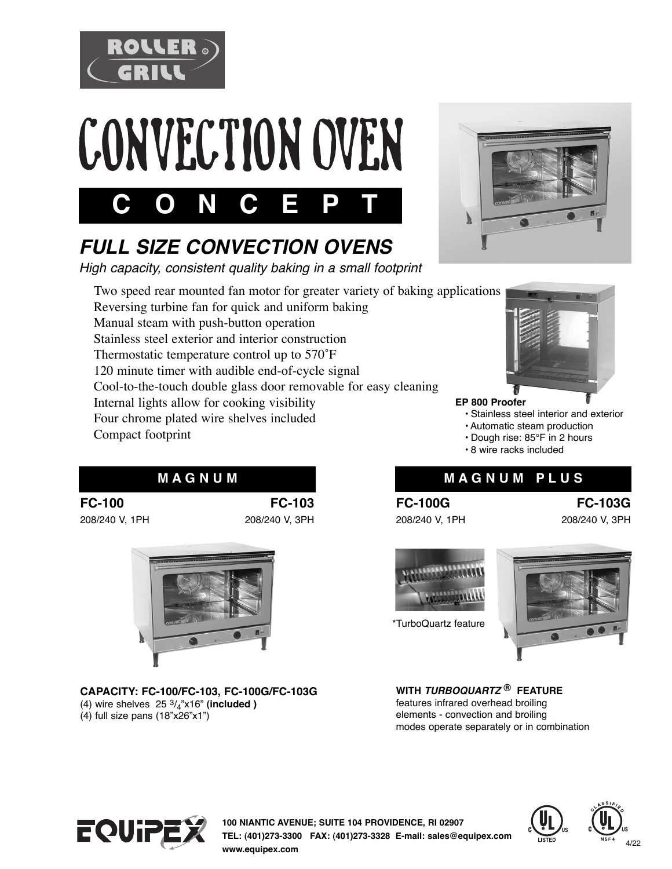





# *FULL SIZE CONVECTION OVENS*

*High capacity, consistent quality baking in a small footprint* 

 Two speed rear mounted fan motor for greater variety of baking applications Reversing turbine fan for quick and uniform baking Manual steam with push-button operation Stainless steel exterior and interior construction Thermostatic temperature control up to 570˚F 120 minute timer with audible end-of-cycle signal Cool-to-the-touch double glass door removable for easy cleaning Internal lights allow for cooking visibility Four chrome plated wire shelves included Compact footprint





**EP 800 Proofer** 

- Stainless steel interior and exterior
- Automatic steam production
- Dough rise: 85°F in 2 hours
- 8 wire racks included

# **M A G N U M M A G N U M P L U S**

#### **FC-100G**  208/240 V, 1PH

**FC-103G**  208/240 V, 3PH



\*TurboQuartz feature



**WITH** *TURBOQUARTZ* **® FEATURE**  features infrared overhead broiling elements - convection and broiling modes operate separately or in combination



**100 NIANTIC AVENUE; SUITE 104 PROVIDENCE, RI 02907 TEL: (401)273-3300 FAX: (401)273-3328 E-mail: sales@equipex.com www.equipex.com**





**FC-100**  208/240 V, 1PH





**CAPACITY: FC-100/FC-103, FC-100G/FC-103G**  (4) wire shelves  $25 \frac{3}{4}$ "x16" (included )

(4) full size pans (18"x26"x1")